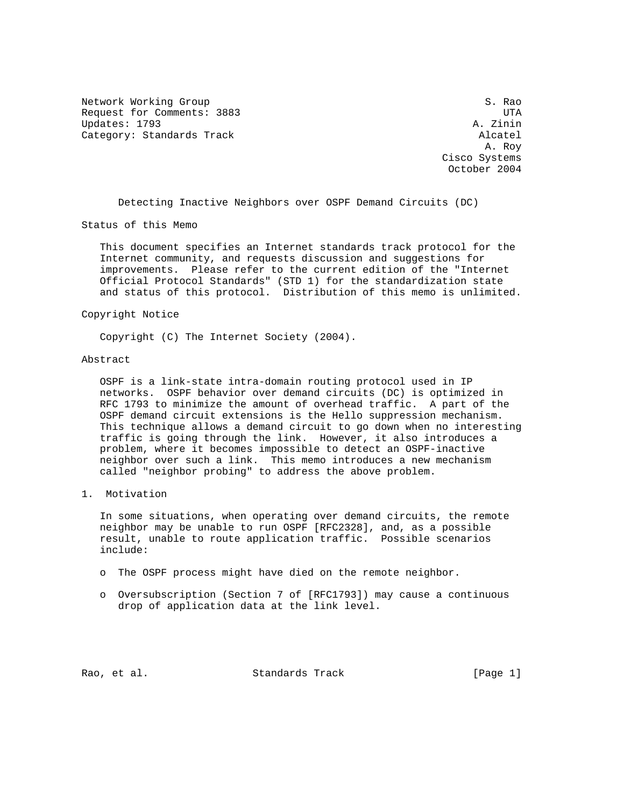Network Working Group S. Rao Request for Comments: 3883 UTA UTA UTA UTA UTA UTA UTA UTA Updates: 1793 Category: Standards Track Alcatel Alcatel Alcatel Alcatel Alcatel Alcatel Alcatel Alcatel Alcatel Alcatel Alcatel Alcatel Alcatel Alcatel Alcatel Alcatel Alcatel Alcatel Alcatel Alcatel Alcatel Alcatel Alcatel Alcatel Alca

 A. Roy Cisco Systems October 2004

Detecting Inactive Neighbors over OSPF Demand Circuits (DC)

Status of this Memo

 This document specifies an Internet standards track protocol for the Internet community, and requests discussion and suggestions for improvements. Please refer to the current edition of the "Internet Official Protocol Standards" (STD 1) for the standardization state and status of this protocol. Distribution of this memo is unlimited.

## Copyright Notice

Copyright (C) The Internet Society (2004).

## Abstract

 OSPF is a link-state intra-domain routing protocol used in IP networks. OSPF behavior over demand circuits (DC) is optimized in RFC 1793 to minimize the amount of overhead traffic. A part of the OSPF demand circuit extensions is the Hello suppression mechanism. This technique allows a demand circuit to go down when no interesting traffic is going through the link. However, it also introduces a problem, where it becomes impossible to detect an OSPF-inactive neighbor over such a link. This memo introduces a new mechanism called "neighbor probing" to address the above problem.

1. Motivation

 In some situations, when operating over demand circuits, the remote neighbor may be unable to run OSPF [RFC2328], and, as a possible result, unable to route application traffic. Possible scenarios include:

- o The OSPF process might have died on the remote neighbor.
- o Oversubscription (Section 7 of [RFC1793]) may cause a continuous drop of application data at the link level.

Rao, et al. Standards Track [Page 1]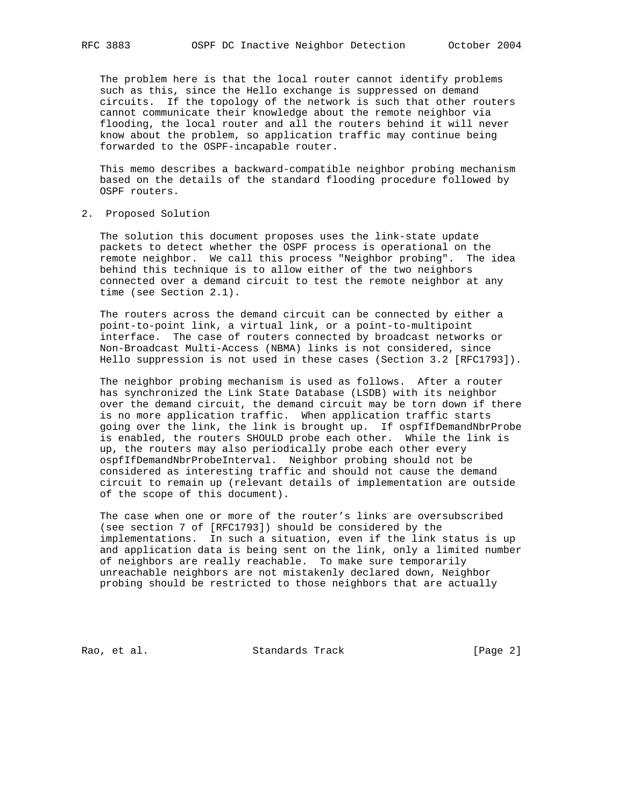The problem here is that the local router cannot identify problems such as this, since the Hello exchange is suppressed on demand circuits. If the topology of the network is such that other routers cannot communicate their knowledge about the remote neighbor via flooding, the local router and all the routers behind it will never know about the problem, so application traffic may continue being forwarded to the OSPF-incapable router.

 This memo describes a backward-compatible neighbor probing mechanism based on the details of the standard flooding procedure followed by OSPF routers.

2. Proposed Solution

 The solution this document proposes uses the link-state update packets to detect whether the OSPF process is operational on the remote neighbor. We call this process "Neighbor probing". The idea behind this technique is to allow either of the two neighbors connected over a demand circuit to test the remote neighbor at any time (see Section 2.1).

 The routers across the demand circuit can be connected by either a point-to-point link, a virtual link, or a point-to-multipoint interface. The case of routers connected by broadcast networks or Non-Broadcast Multi-Access (NBMA) links is not considered, since Hello suppression is not used in these cases (Section 3.2 [RFC1793]).

 The neighbor probing mechanism is used as follows. After a router has synchronized the Link State Database (LSDB) with its neighbor over the demand circuit, the demand circuit may be torn down if there is no more application traffic. When application traffic starts going over the link, the link is brought up. If ospfIfDemandNbrProbe is enabled, the routers SHOULD probe each other. While the link is up, the routers may also periodically probe each other every ospfIfDemandNbrProbeInterval. Neighbor probing should not be considered as interesting traffic and should not cause the demand circuit to remain up (relevant details of implementation are outside of the scope of this document).

 The case when one or more of the router's links are oversubscribed (see section 7 of [RFC1793]) should be considered by the implementations. In such a situation, even if the link status is up and application data is being sent on the link, only a limited number of neighbors are really reachable. To make sure temporarily unreachable neighbors are not mistakenly declared down, Neighbor probing should be restricted to those neighbors that are actually

Rao, et al. Standards Track [Page 2]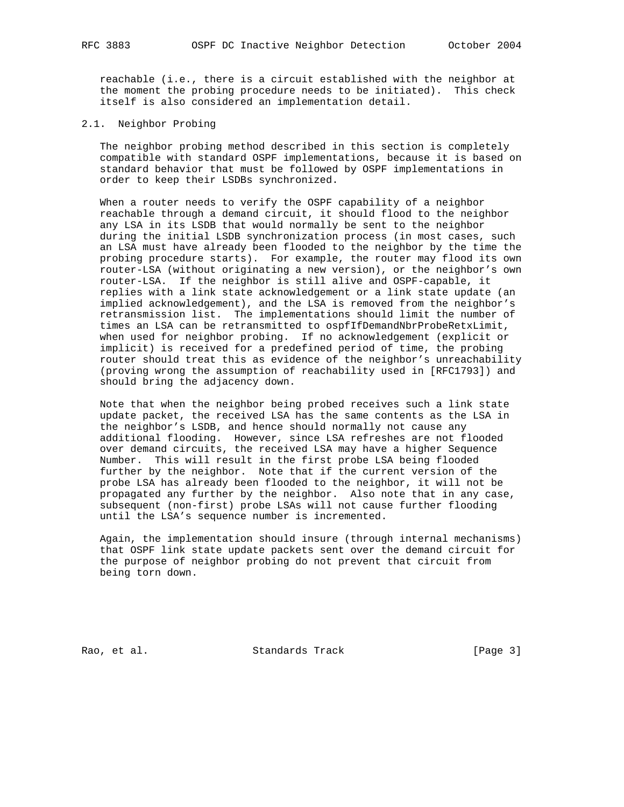reachable (i.e., there is a circuit established with the neighbor at the moment the probing procedure needs to be initiated). This check itself is also considered an implementation detail.

## 2.1. Neighbor Probing

 The neighbor probing method described in this section is completely compatible with standard OSPF implementations, because it is based on standard behavior that must be followed by OSPF implementations in order to keep their LSDBs synchronized.

 When a router needs to verify the OSPF capability of a neighbor reachable through a demand circuit, it should flood to the neighbor any LSA in its LSDB that would normally be sent to the neighbor during the initial LSDB synchronization process (in most cases, such an LSA must have already been flooded to the neighbor by the time the probing procedure starts). For example, the router may flood its own router-LSA (without originating a new version), or the neighbor's own router-LSA. If the neighbor is still alive and OSPF-capable, it replies with a link state acknowledgement or a link state update (an implied acknowledgement), and the LSA is removed from the neighbor's retransmission list. The implementations should limit the number of times an LSA can be retransmitted to ospfIfDemandNbrProbeRetxLimit, when used for neighbor probing. If no acknowledgement (explicit or implicit) is received for a predefined period of time, the probing router should treat this as evidence of the neighbor's unreachability (proving wrong the assumption of reachability used in [RFC1793]) and should bring the adjacency down.

 Note that when the neighbor being probed receives such a link state update packet, the received LSA has the same contents as the LSA in the neighbor's LSDB, and hence should normally not cause any additional flooding. However, since LSA refreshes are not flooded over demand circuits, the received LSA may have a higher Sequence Number. This will result in the first probe LSA being flooded further by the neighbor. Note that if the current version of the probe LSA has already been flooded to the neighbor, it will not be propagated any further by the neighbor. Also note that in any case, subsequent (non-first) probe LSAs will not cause further flooding until the LSA's sequence number is incremented.

 Again, the implementation should insure (through internal mechanisms) that OSPF link state update packets sent over the demand circuit for the purpose of neighbor probing do not prevent that circuit from being torn down.

Rao, et al. Standards Track [Page 3]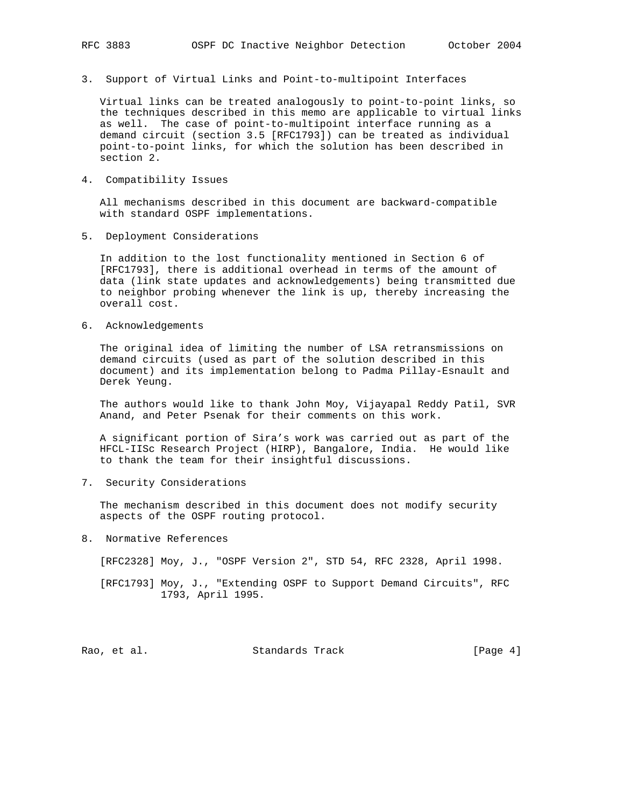3. Support of Virtual Links and Point-to-multipoint Interfaces

 Virtual links can be treated analogously to point-to-point links, so the techniques described in this memo are applicable to virtual links as well. The case of point-to-multipoint interface running as a demand circuit (section 3.5 [RFC1793]) can be treated as individual point-to-point links, for which the solution has been described in section 2.

4. Compatibility Issues

 All mechanisms described in this document are backward-compatible with standard OSPF implementations.

5. Deployment Considerations

 In addition to the lost functionality mentioned in Section 6 of [RFC1793], there is additional overhead in terms of the amount of data (link state updates and acknowledgements) being transmitted due to neighbor probing whenever the link is up, thereby increasing the overall cost.

6. Acknowledgements

 The original idea of limiting the number of LSA retransmissions on demand circuits (used as part of the solution described in this document) and its implementation belong to Padma Pillay-Esnault and Derek Yeung.

 The authors would like to thank John Moy, Vijayapal Reddy Patil, SVR Anand, and Peter Psenak for their comments on this work.

 A significant portion of Sira's work was carried out as part of the HFCL-IISc Research Project (HIRP), Bangalore, India. He would like to thank the team for their insightful discussions.

7. Security Considerations

 The mechanism described in this document does not modify security aspects of the OSPF routing protocol.

8. Normative References

[RFC2328] Moy, J., "OSPF Version 2", STD 54, RFC 2328, April 1998.

 [RFC1793] Moy, J., "Extending OSPF to Support Demand Circuits", RFC 1793, April 1995.

Rao, et al. Standards Track [Page 4]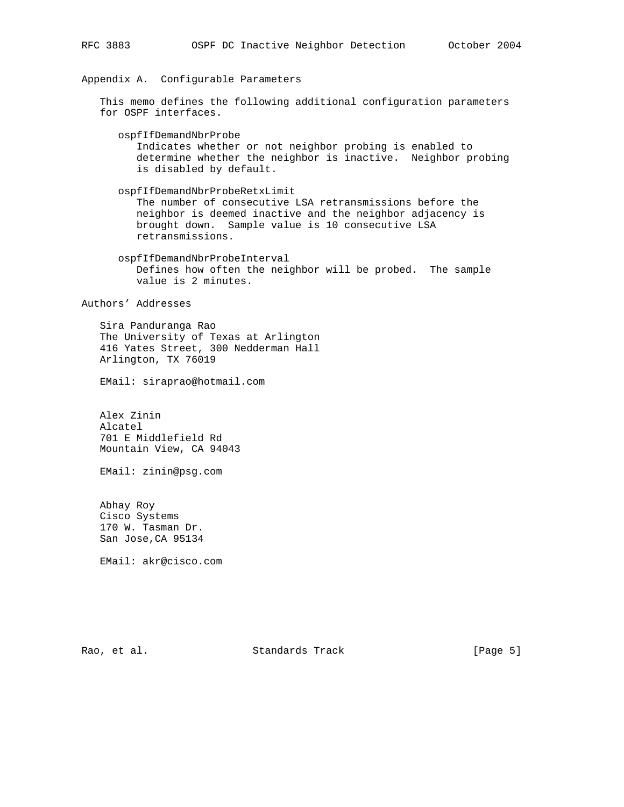This memo defines the following additional configuration parameters for OSPF interfaces.

 ospfIfDemandNbrProbe Indicates whether or not neighbor probing is enabled to determine whether the neighbor is inactive. Neighbor probing is disabled by default.

 ospfIfDemandNbrProbeRetxLimit The number of consecutive LSA retransmissions before the neighbor is deemed inactive and the neighbor adjacency is brought down. Sample value is 10 consecutive LSA retransmissions.

 ospfIfDemandNbrProbeInterval Defines how often the neighbor will be probed. The sample value is 2 minutes.

Authors' Addresses

 Sira Panduranga Rao The University of Texas at Arlington 416 Yates Street, 300 Nedderman Hall Arlington, TX 76019

EMail: siraprao@hotmail.com

 Alex Zinin Alcatel 701 E Middlefield Rd Mountain View, CA 94043

EMail: zinin@psg.com

 Abhay Roy Cisco Systems 170 W. Tasman Dr. San Jose,CA 95134

EMail: akr@cisco.com

Rao, et al. Standards Track [Page 5]